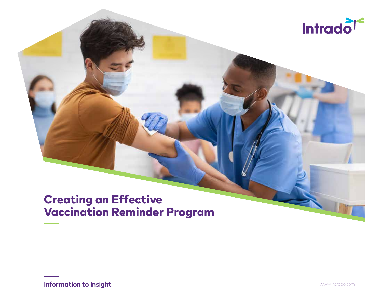

# Creating an Effective Vaccination Reminder Program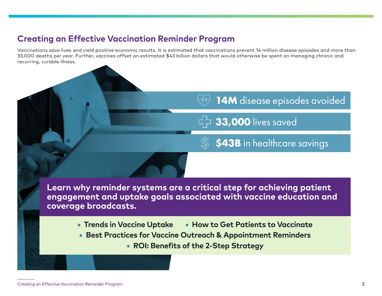## **Creating an Effective Vaccination Reminder Program**

Vaccinations save lives and yield positive economic results. It is estimated that vaccinations prevent 14 million disease episodes and more than 33,000 deaths per year. Further, vaccines offset an estimated \$43 billion dollars that would otherwise be spent on managing chronic and recurring, curable illness.

# 14M disease episodes avoided

 $\overrightarrow{5}$  33,000 lives saved

\$43B in healthcare savings

**Learn why reminder systems are a critical step for achieving patient engagement and uptake goals associated with vaccine education and coverage broadcasts.**

• **Trends in Vaccine Uptake** • **How to Get Patients to Vaccinate** 

- **Best Practices for Vaccine Outreach & Appointment Reminders** 
	- **ROI: Benefits of the 2-Step Strategy**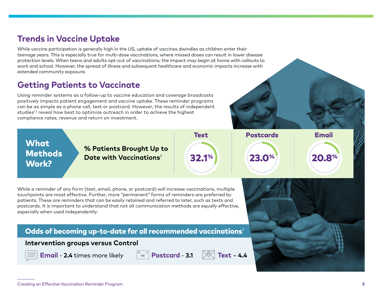## **Trends in Vaccine Uptake**

While vaccine participation is generally high in the US, uptake of vaccines dwindles as children enter their teenage years. This is especially true for multi-dose vaccinations, where missed doses can result in lower disease protection levels. When teens and adults opt-out of vaccinations, the impact may begin at home with callouts to work and school. However, the spread of illness and subsequent healthcare and economic impacts increase with extended community exposure.

## **Getting Patients to Vaccinate**

Using reminder systems as a follow-up to vaccine education and coverage broadcasts positively impacts patient engagement and vaccine uptake. These reminder programs can be as simple as a phone call, text or postcard. However, the results of independent studies<sup>1,2</sup> reveal how best to optimize outreach in order to achieve the highest compliance rates, revenue and return on investment.

**What Methods** Work?

**% Patients Brought Up to Date with Vaccinations<sup>1</sup> 23.1% 23.0% 23.0% 20.8** 



While a reminder of any form (text, email, phone, or postcard) will increase vaccinations, multiple touchpoints are most effective. Further, more "permanent" forms of reminders are preferred by patients. These are reminders that can be easily retained and referred to later, such as texts and postcards. It is important to understand that not all communication methods are equally effective, especially when used independently.

### Odds of becoming up-to-date for all recommended vaccinations $1$

### **Intervention groups versus Control**



**Email** - **2.4** times more likely  $\|\mathbf{F}\| = \|\mathbf{Postcard} - 3.1\|\|\mathbf{F}\|$  Text – 4.4



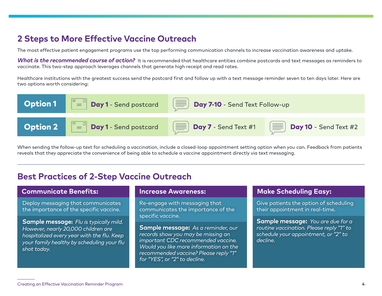## **2 Steps to More Effective Vaccine Outreach**

The most effective patient engagement programs use the top performing communication channels to increase vaccination awareness and uptake.

What is the recommended course of action? It is recommended that healthcare entities combine postcards and text messages as reminders to vaccinate. This two-step approach leverages channels that generate high receipt and read rates.

Healthcare institutions with the greatest success send the postcard first and follow up with a text message reminder seven to ten days later. Here are two options worth considering:



When sending the follow-up text for scheduling a vaccination, include a closed-loop appointment setting option when you can. Feedback from patients reveals that they appreciate the convenience of being able to schedule a vaccine appointment directly via text messaging.

## **Best Practices of 2-Step Vaccine Outreach**

### **Communicate Benefits: Increase Awareness: Make Scheduling Easy:**

Deploy messaging that communicates the importance of the specific vaccine.

**Sample message:** *Flu is typically mild. However, nearly 20,000 children are hospitalized every year with the flu. Keep your family healthy by scheduling your flu shot today.*

Re-engage with messaging that communicates the importance of the specific vaccine.

**Sample message:** *As a reminder, our records show you may be missing an important CDC recommended vaccine. Would you like more information on the recommended vaccine? Please reply "1" for "YES", or "2" to decline.*

Give patients the option of scheduling their appointment in real-time.

**Sample message:** *You are due for a routine vaccination. Please reply "1" to schedule your appointment, or "2" to decline.*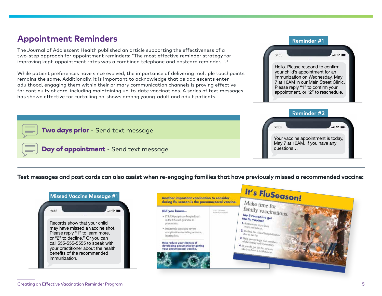## **Appointment Reminders**

The Journal of Adolescent Health published an article supporting the effectiveness of a two-step approach for appointment reminders: "The most effective reminder strategy for improving kept-appointment rates was a combined telephone and postcard reminder…".2

While patient preferences have since evolved, the importance of delivering multiple touchpoints remains the same. Additionally, it is important to acknowledge that as adolescents enter adulthood, engaging them within their primary communication channels is proving effective for continuity of care, including maintaining up-to-date vaccinations. A series of text messages has shown effective for curtailing no-shows among young-adult and adult patients.

### **Test messages and post cards can also assist when re-engaging families that have previously missed a recommended vaccine:**





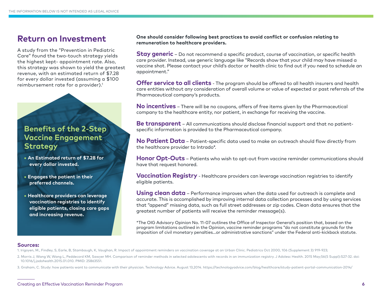A study from the "Prevention in Pediatric Care" found the two-touch strategy yields the highest kept- appointment rate. Also, this strategy was shown to yield the greatest revenue, with an estimated return of \$7.28 for every dollar invested (assuming a \$100 reimbursement rate for a provider).<sup>1</sup>

## **Benefits of the 2-Step Vaccine Engagement Strategy**

- **An Estimated return of \$7.28 for every dollar invested.**
- **Engages the patient in their preferred channels.**
- **Healthcare providers can leverage vaccination registries to identify eligible patients, closing care gaps and increasing revenue.**

**Return on Investment One should consider following best practices to avoid conflict or confusion relating to remuneration to healthcare providers.** 

> **Stay generic** – Do not recommend a specific product, course of vaccination, or specific health care provider. Instead, use generic language like "Records show that your child may have missed a vaccine shot. Please contact your child's doctor or health clinic to find out if you need to schedule an appointment."

**Offer service to all clients** - The program should be offered to all health insurers and health care entities without any consideration of overall volume or value of expected or past referrals of the Pharmaceutical company's products.

**No incentives** – There will be no coupons, offers of free items given by the Pharmaceutical company to the healthcare entity, nor patient, in exchange for receiving the vaccine.

**Be transparent** – All communications should disclose financial support and that no patientspecific information is provided to the Pharmaceutical company.

**No Patient Data** – Patient-specific data used to make an outreach should flow directly from the healthcare provider to Intrado\*.

**Honor Opt-Outs** – Patients who wish to opt-out from vaccine reminder communications should have that request honored.

**Vaccination Registry** - Healthcare providers can leverage vaccination registries to identify eligible patients.

**Using clean data** – Performance improves when the data used for outreach is complete and accurate. This is accomplished by improving internal data collection processes and by using services that "append" missing data, such as full street addresses or zip codes. Clean data ensures that the greatest number of patients will receive the reminder message(s).

\*The OIG Advisory Opinion No. 11-07 outlines the Office of Inspector General's position that, based on the program limitations outlined in the Opinion, vaccine reminder programs "do not constitute grounds for the imposition of civil monetary penalties…or administrative sanctions" under the Federal anti-kickback statute.

#### **Sources:**

- 1. Irigoyen, M., Findley, S, Earle, B, Stambaugh, K, Vaughan, R. Impact of appointment reminders on vaccination coverage at an Urban Clinic. Pediatrics Oct 2000, 106 (Supplement 3) 919-923;
- 2. Morris J, Wang W, Wang L, Peddecord KM, Sawyer MH. Comparison of reminder methods in selected adolescents with records in an immunization registry. J Adolesc Health. 2015 May;56(5 Suppl):S27-32. doi: 10.1016/j.jadohealth.2015.01.010. PMID: 25863551.
- 3. Graham, C. Study: how patients want to communicate with their physician. Technology Advice. August 13,2014. https://technologyadvice.com/blog/healthcare/study-patient-portal-communication-2014/